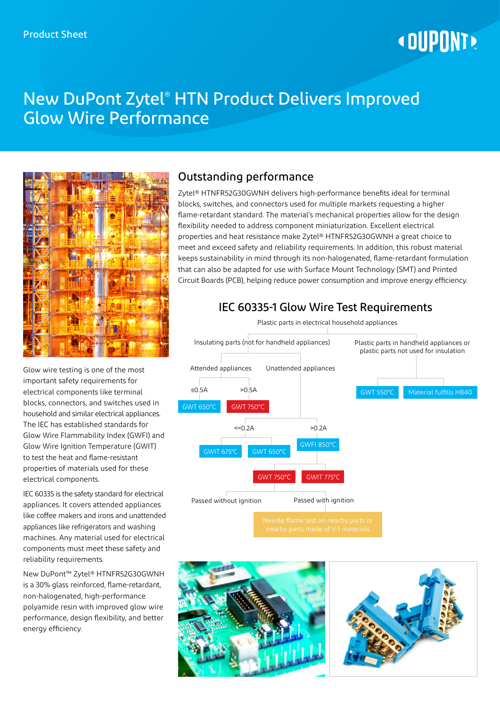# **« DUPONT!**

# New DuPont Zytel® HTN Product Delivers Improved Glow Wire Performance



Glow wire testing is one of the most important safety requirements for electrical components like terminal blocks, connectors, and switches used in household and similar electrical appliances. The IEC has established standards for Glow Wire Flammability Index (GWFI) and Glow Wire Ignition Temperature (GWIT) to test the heat and flame-resistant properties of materials used for these electrical components.

IEC 60335 is the safety standard for electrical appliances. It covers attended appliances like coffee makers and irons and unattended appliances like refrigerators and washing machines. Any material used for electrical components must meet these safety and reliability requirements.

New DuPont™ Zytel® HTNFR52G30GWNH is a 30% glass reinforced, flame-retardant, non-halogenated, high-performance polyamide resin with improved glow wire performance, design flexibility, and better energy efficiency.

# Outstanding performance

Zytel® HTNFR52G30GWNH delivers high-performance benefits ideal for terminal blocks, switches, and connectors used for multiple markets requesting a higher flame-retardant standard. The material's mechanical properties allow for the design flexibility needed to address component miniaturization. Excellent electrical properties and heat resistance make Zytel® HTNFR52G30GWNH a great choice to meet and exceed safety and reliability requirements. In addition, this robust material keeps sustainability in mind through its non-halogenated, flame-retardant formulation that can also be adapted for use with Surface Mount Technology (SMT) and Printed Circuit Boards (PCB), helping reduce power consumption and improve energy efficiency.

# IEC 60335-1 Glow Wire Test Requirements

Plastic parts in electrical household appliances